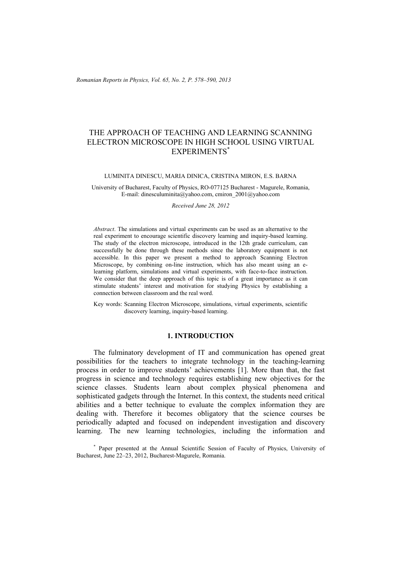# THE APPROACH OF TEACHING AND LEARNING SCANNING ELECTRON MICROSCOPE IN HIGH SCHOOL USING VIRTUAL EXPERIMENTS\*

LUMINITA DINESCU, MARIA DINICA, CRISTINA MIRON, E.S. BARNA

University of Bucharest, Faculty of Physics, RO-077125 Bucharest - Magurele, Romania, E-mail: dinesculuminita@yahoo.com, cmiron\_2001@yahoo.com

*Received June 28, 2012* 

*Abstract*. The simulations and virtual experiments can be used as an alternative to the real experiment to encourage scientific discovery learning and inquiry-based learning. The study of the electron microscope, introduced in the 12th grade curriculum, can successfully be done through these methods since the laboratory equipment is not accessible. In this paper we present a method to approach Scanning Electron Microscope, by combining on-line instruction, which has also meant using an elearning platform, simulations and virtual experiments, with face-to-face instruction. We consider that the deep approach of this topic is of a great importance as it can stimulate students' interest and motivation for studying Physics by establishing a connection between classroom and the real word.

Key words: Scanning Electron Microscope, simulations, virtual experiments, scientific discovery learning, inquiry-based learning.

### **1. INTRODUCTION**

The fulminatory development of IT and communication has opened great possibilities for the teachers to integrate technology in the teaching-learning process in order to improve students' achievements [1]. More than that, the fast progress in science and technology requires establishing new objectives for the science classes. Students learn about complex physical phenomena and sophisticated gadgets through the Internet. In this context, the students need critical abilities and a better technique to evaluate the complex information they are dealing with. Therefore it becomes obligatory that the science courses be periodically adapted and focused on independent investigation and discovery learning. The new learning technologies, including the information and

\* Paper presented at the Annual Scientific Session of Faculty of Physics, University of Bucharest, June 22–23, 2012, Bucharest-Magurele, Romania.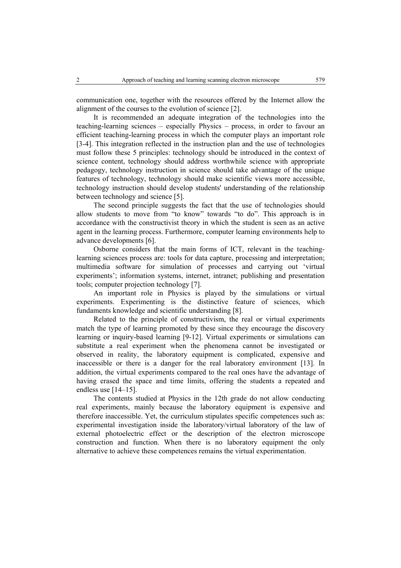communication one, together with the resources offered by the Internet allow the alignment of the courses to the evolution of science [2].

It is recommended an adequate integration of the technologies into the teaching-learning sciences – especially Physics – process, in order to favour an efficient teaching-learning process in which the computer plays an important role [3-4]. This integration reflected in the instruction plan and the use of technologies must follow these 5 principles: technology should be introduced in the context of science content, technology should address worthwhile science with appropriate pedagogy, technology instruction in science should take advantage of the unique features of technology, technology should make scientific views more accessible, technology instruction should develop students' understanding of the relationship between technology and science [5].

The second principle suggests the fact that the use of technologies should allow students to move from "to know" towards "to do". This approach is in accordance with the constructivist theory in which the student is seen as an active agent in the learning process. Furthermore, computer learning environments help to advance developments [6].

Osborne considers that the main forms of ICT, relevant in the teachinglearning sciences process are: tools for data capture, processing and interpretation; multimedia software for simulation of processes and carrying out 'virtual experiments'; information systems, internet, intranet; publishing and presentation tools; computer projection technology [7].

An important role in Physics is played by the simulations or virtual experiments. Experimenting is the distinctive feature of sciences, which fundaments knowledge and scientific understanding [8].

Related to the principle of constructivism, the real or virtual experiments match the type of learning promoted by these since they encourage the discovery learning or inquiry-based learning [9-12]. Virtual experiments or simulations can substitute a real experiment when the phenomena cannot be investigated or observed in reality, the laboratory equipment is complicated, expensive and inaccessible or there is a danger for the real laboratory environment [13]. In addition, the virtual experiments compared to the real ones have the advantage of having erased the space and time limits, offering the students a repeated and endless use [14–15].

The contents studied at Physics in the 12th grade do not allow conducting real experiments, mainly because the laboratory equipment is expensive and therefore inaccessible. Yet, the curriculum stipulates specific competences such as: experimental investigation inside the laboratory/virtual laboratory of the law of external photoelectric effect or the description of the electron microscope construction and function. When there is no laboratory equipment the only alternative to achieve these competences remains the virtual experimentation.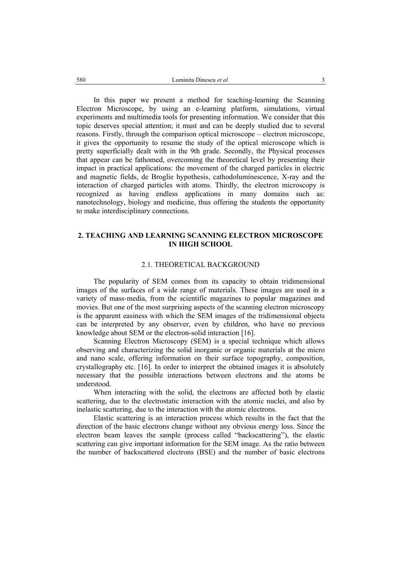In this paper we present a method for teaching-learning the Scanning Electron Microscope, by using an e-learning platform, simulations, virtual experiments and multimedia tools for presenting information. We consider that this topic deserves special attention; it must and can be deeply studied due to several reasons. Firstly, through the comparison optical microscope – electron microscope, it gives the opportunity to resume the study of the optical microscope which is pretty superficially dealt with in the 9th grade. Secondly, the Physical processes that appear can be fathomed, overcoming the theoretical level by presenting their impact in practical applications: the movement of the charged particles in electric and magnetic fields, de Broglie hypothesis, cathodoluminescence, X-ray and the interaction of charged particles with atoms. Thirdly, the electron microscopy is recognized as having endless applications in many domains such as: nanotechnology, biology and medicine, thus offering the students the opportunity to make interdisciplinary connections.

## **2. TEACHING AND LEARNING SCANNING ELECTRON MICROSCOPE IN HIGH SCHOOL**

### 2.1. THEORETICAL BACKGROUND

The popularity of SEM comes from its capacity to obtain tridimensional images of the surfaces of a wide range of materials. These images are used in a variety of mass-media, from the scientific magazines to popular magazines and movies. But one of the most surprising aspects of the scanning electron microscopy is the apparent easiness with which the SEM images of the tridimensional objects can be interpreted by any observer, even by children, who have no previous knowledge about SEM or the electron-solid interaction [16].

Scanning Electron Microscopy (SEM) is a special technique which allows observing and characterizing the solid inorganic or organic materials at the micro and nano scale, offering information on their surface topography, composition, crystallography etc. [16]. In order to interpret the obtained images it is absolutely necessary that the possible interactions between electrons and the atoms be understood.

When interacting with the solid, the electrons are affected both by elastic scattering, due to the electrostatic interaction with the atomic nuclei, and also by inelastic scattering, due to the interaction with the atomic electrons.

Elastic scattering is an interaction process which results in the fact that the direction of the basic electrons change without any obvious energy loss. Since the electron beam leaves the sample (process called "backscattering"), the elastic scattering can give important information for the SEM image. As the ratio between the number of backscattered electrons (BSE) and the number of basic electrons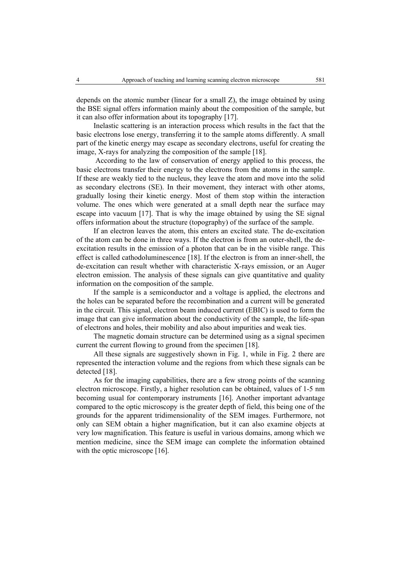depends on the atomic number (linear for a small Z), the image obtained by using the BSE signal offers information mainly about the composition of the sample, but it can also offer information about its topography [17].

Inelastic scattering is an interaction process which results in the fact that the basic electrons lose energy, transferring it to the sample atoms differently. A small part of the kinetic energy may escape as secondary electrons, useful for creating the image, X-rays for analyzing the composition of the sample [18].

 According to the law of conservation of energy applied to this process, the basic electrons transfer their energy to the electrons from the atoms in the sample. If these are weakly tied to the nucleus, they leave the atom and move into the solid as secondary electrons (SE). In their movement, they interact with other atoms, gradually losing their kinetic energy. Most of them stop within the interaction volume. The ones which were generated at a small depth near the surface may escape into vacuum [17]. That is why the image obtained by using the SE signal offers information about the structure (topography) of the surface of the sample.

If an electron leaves the atom, this enters an excited state. The de-excitation of the atom can be done in three ways. If the electron is from an outer-shell, the deexcitation results in the emission of a photon that can be in the visible range. This effect is called cathodoluminescence [18]. If the electron is from an inner-shell, the de-excitation can result whether with characteristic X-rays emission, or an Auger electron emission. The analysis of these signals can give quantitative and quality information on the composition of the sample.

If the sample is a semiconductor and a voltage is applied, the electrons and the holes can be separated before the recombination and a current will be generated in the circuit. This signal, electron beam induced current (EBIC) is used to form the image that can give information about the conductivity of the sample, the life-span of electrons and holes, their mobility and also about impurities and weak ties.

The magnetic domain structure can be determined using as a signal specimen current the current flowing to ground from the specimen [18].

All these signals are suggestively shown in Fig. 1, while in Fig. 2 there are represented the interaction volume and the regions from which these signals can be detected [18].

As for the imaging capabilities, there are a few strong points of the scanning electron microscope. Firstly, a higher resolution can be obtained, values of 1-5 nm becoming usual for contemporary instruments [16]. Another important advantage compared to the optic microscopy is the greater depth of field, this being one of the grounds for the apparent tridimensionality of the SEM images. Furthermore, not only can SEM obtain a higher magnification, but it can also examine objects at very low magnification. This feature is useful in various domains, among which we mention medicine, since the SEM image can complete the information obtained with the optic microscope [16].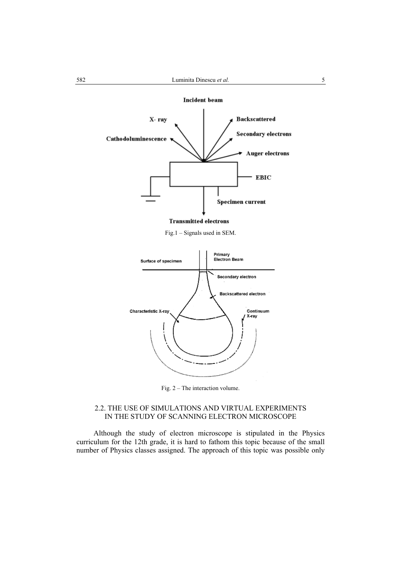**Incident** beam



Fig.1 – Signals used in SEM.



Fig. 2 – The interaction volume.

## 2.2. THE USE OF SIMULATIONS AND VIRTUAL EXPERIMENTS IN THE STUDY OF SCANNING ELECTRON MICROSCOPE

Although the study of electron microscope is stipulated in the Physics curriculum for the 12th grade, it is hard to fathom this topic because of the small number of Physics classes assigned. The approach of this topic was possible only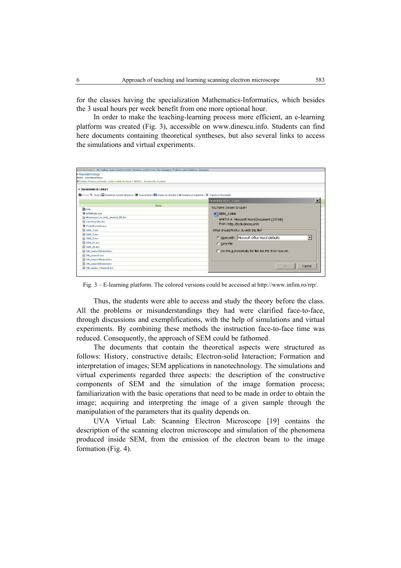for the classes having the specialization Mathematics-Informatics, which besides the 3 usual hours per week benefit from one more optional hour.

In order to make the teaching-learning process more efficient, an e-learning platform was created (Fig. 3), accessible on www.dinescu.info. Students can find here documents containing theoretical syntheses, but also several links to access the simulations and virtual experiments.

| • Nanotehnologii<br>NANO - Juminita dinescu                                                                                                                          |                                                                                |
|----------------------------------------------------------------------------------------------------------------------------------------------------------------------|--------------------------------------------------------------------------------|
| #Profesor Dinesou Luminita - Leotii și teste de fizica > NANO > Documente și Linkuri                                                                                 |                                                                                |
| • Documente si Linkuri<br>Diction   Q. Cauta   Download current directory   空 Incarca fisier   DiCreeza un director   BB Creeza un hyperlink   IE Creeza un Document |                                                                                |
|                                                                                                                                                                      |                                                                                |
| Name                                                                                                                                                                 | You have chosen to open                                                        |
| <b>Dal Link</b>                                                                                                                                                      |                                                                                |
| AFMModel.com                                                                                                                                                         | SEM_1.doc                                                                      |
| Microscopul ou forta atomica 05.400                                                                                                                                  | which is a: Microsoft Word Document (237 KB)<br>from: http://lecti.dnescu.info |
| iii nanolitografie.doc                                                                                                                                               |                                                                                |
| ProbeSimulator.exe                                                                                                                                                   |                                                                                |
| SEM_1.dec                                                                                                                                                            | -What should Firefox do with this file?                                        |
| <b>E SEM 2.doo</b>                                                                                                                                                   |                                                                                |
| SEM 3.doc                                                                                                                                                            | C Open with Microsoft Office Word (default)<br>▼                               |
| <b>E SEM 31.400</b>                                                                                                                                                  | C Save File                                                                    |
| SEM_32.doc                                                                                                                                                           | IT Do this automatically for fles like this from now on.                       |
| SM Lesson2Student.doc                                                                                                                                                |                                                                                |
| SM Lesson3.doc                                                                                                                                                       |                                                                                |
| SM Lesson4Student.doc                                                                                                                                                |                                                                                |
| SM Lesson5Student.doo                                                                                                                                                | <b>OK</b><br>Cancel                                                            |
| BM Lesson 1Student.doc                                                                                                                                               |                                                                                |

Fig. 3 – E-learning platform. The colored versions could be accessed at http://www.infim.ro/rrp/.

Thus, the students were able to access and study the theory before the class. All the problems or misunderstandings they had were clarified face-to-face, through discussions and exemplifications, with the help of simulations and virtual experiments. By combining these methods the instruction face-to-face time was reduced. Consequently, the approach of SEM could be fathomed.

The documents that contain the theoretical aspects were structured as follows: History, constructive details; Electron-solid Interaction; Formation and interpretation of images; SEM applications in nanotechnology. The simulations and virtual experiments regarded three aspects: the description of the constructive components of SEM and the simulation of the image formation process; familiarization with the basic operations that need to be made in order to obtain the image; acquiring and interpreting the image of a given sample through the manipulation of the parameters that its quality depends on.

UVA Virtual Lab: Scanning Electron Microscope [19] contains the description of the scanning electron microscope and simulation of the phenomena produced inside SEM, from the emission of the electron beam to the image formation (Fig. 4).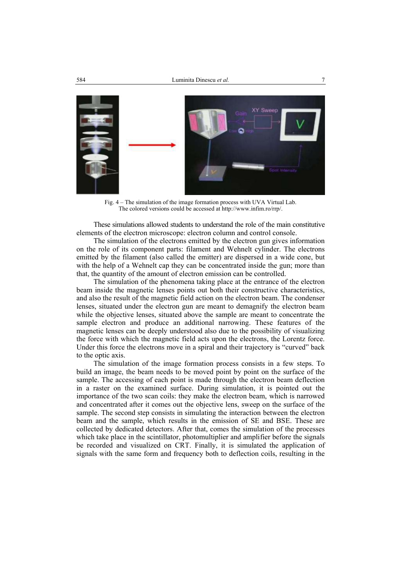

Fig. 4 – The simulation of the image formation process with UVA Virtual Lab. The colored versions could be accessed at http://www.infim.ro/rrp/.

These simulations allowed students to understand the role of the main constitutive elements of the electron microscope: electron column and control console.

The simulation of the electrons emitted by the electron gun gives information on the role of its component parts: filament and Wehnelt cylinder. The electrons emitted by the filament (also called the emitter) are dispersed in a wide cone, but with the help of a Wehnelt cap they can be concentrated inside the gun; more than that, the quantity of the amount of electron emission can be controlled.

The simulation of the phenomena taking place at the entrance of the electron beam inside the magnetic lenses points out both their constructive characteristics, and also the result of the magnetic field action on the electron beam. The condenser lenses, situated under the electron gun are meant to demagnify the electron beam while the objective lenses, situated above the sample are meant to concentrate the sample electron and produce an additional narrowing. These features of the magnetic lenses can be deeply understood also due to the possibility of visualizing the force with which the magnetic field acts upon the electrons, the Lorentz force. Under this force the electrons move in a spiral and their trajectory is "curved" back to the optic axis.

The simulation of the image formation process consists in a few steps. To build an image, the beam needs to be moved point by point on the surface of the sample. The accessing of each point is made through the electron beam deflection in a raster on the examined surface. During simulation, it is pointed out the importance of the two scan coils: they make the electron beam, which is narrowed and concentrated after it comes out the objective lens, sweep on the surface of the sample. The second step consists in simulating the interaction between the electron beam and the sample, which results in the emission of SE and BSE. These are collected by dedicated detectors. After that, comes the simulation of the processes which take place in the scintillator, photomultiplier and amplifier before the signals be recorded and visualized on CRT. Finally, it is simulated the application of signals with the same form and frequency both to deflection coils, resulting in the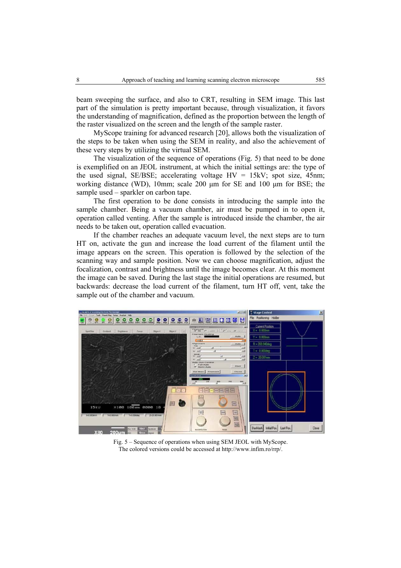beam sweeping the surface, and also to CRT, resulting in SEM image. This last part of the simulation is pretty important because, through visualization, it favors the understanding of magnification, defined as the proportion between the length of the raster visualized on the screen and the length of the sample raster.

MyScope training for advanced research [20], allows both the visualization of the steps to be taken when using the SEM in reality, and also the achievement of these very steps by utilizing the virtual SEM.

The visualization of the sequence of operations (Fig. 5) that need to be done is exemplified on an JEOL instrument, at which the initial settings are: the type of the used signal, SE/BSE; accelerating voltage  $HV = 15kV$ ; spot size, 45nm; working distance (WD), 10mm; scale 200 µm for SE and 100 µm for BSE; the sample used – sparkler on carbon tape.

The first operation to be done consists in introducing the sample into the sample chamber. Being a vacuum chamber, air must be pumped in to open it, operation called venting. After the sample is introduced inside the chamber, the air needs to be taken out, operation called evacuation.

If the chamber reaches an adequate vacuum level, the next steps are to turn HT on, activate the gun and increase the load current of the filament until the image appears on the screen. This operation is followed by the selection of the scanning way and sample position. Now we can choose magnification, adjust the focalization, contrast and brightness until the image becomes clear. At this moment the image can be saved. During the last stage the initial operations are resumed, but backwards: decrease the load current of the filament, turn HT off, vent, take the sample out of the chamber and vacuum.



Fig. 5 – Sequence of operations when using SEM JEOL with MyScope. The colored versions could be accessed at http://www.infim.ro/rrp/.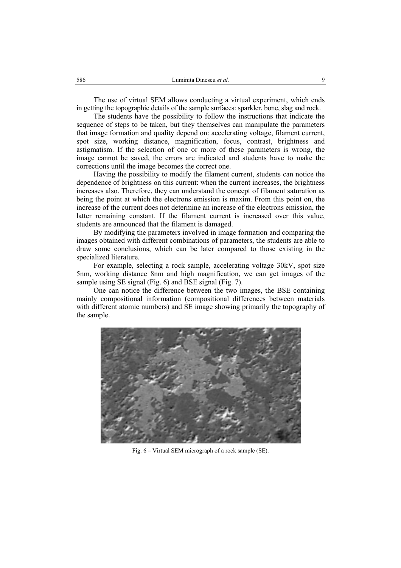The use of virtual SEM allows conducting a virtual experiment, which ends in getting the topographic details of the sample surfaces: sparkler, bone, slag and rock.

The students have the possibility to follow the instructions that indicate the sequence of steps to be taken, but they themselves can manipulate the parameters that image formation and quality depend on: accelerating voltage, filament current, spot size, working distance, magnification, focus, contrast, brightness and astigmatism. If the selection of one or more of these parameters is wrong, the image cannot be saved, the errors are indicated and students have to make the corrections until the image becomes the correct one.

Having the possibility to modify the filament current, students can notice the dependence of brightness on this current: when the current increases, the brightness increases also. Therefore, they can understand the concept of filament saturation as being the point at which the electrons emission is maxim. From this point on, the increase of the current does not determine an increase of the electrons emission, the latter remaining constant. If the filament current is increased over this value, students are announced that the filament is damaged.

By modifying the parameters involved in image formation and comparing the images obtained with different combinations of parameters, the students are able to draw some conclusions, which can be later compared to those existing in the specialized literature.

For example, selecting a rock sample, accelerating voltage 30kV, spot size 5nm, working distance 8nm and high magnification, we can get images of the sample using SE signal (Fig. 6) and BSE signal (Fig. 7).

One can notice the difference between the two images, the BSE containing mainly compositional information (compositional differences between materials with different atomic numbers) and SE image showing primarily the topography of the sample.



Fig. 6 – Virtual SEM micrograph of a rock sample (SE).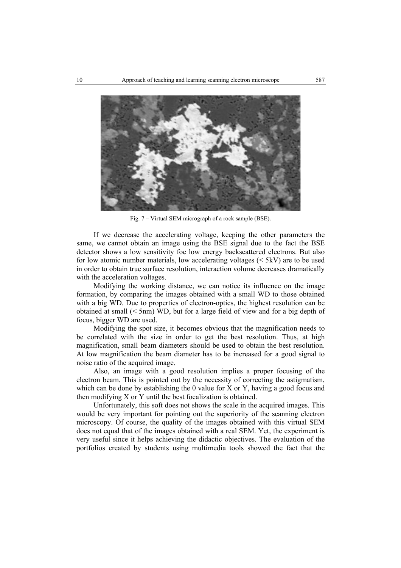

Fig. 7 – Virtual SEM micrograph of a rock sample (BSE).

If we decrease the accelerating voltage, keeping the other parameters the same, we cannot obtain an image using the BSE signal due to the fact the BSE detector shows a low sensitivity foe low energy backscattered electrons. But also for low atomic number materials, low accelerating voltages  $( $5kV$ )$  are to be used in order to obtain true surface resolution, interaction volume decreases dramatically with the acceleration voltages.

Modifying the working distance, we can notice its influence on the image formation, by comparing the images obtained with a small WD to those obtained with a big WD. Due to properties of electron-optics, the highest resolution can be obtained at small (< 5nm) WD, but for a large field of view and for a big depth of focus, bigger WD are used.

Modifying the spot size, it becomes obvious that the magnification needs to be correlated with the size in order to get the best resolution. Thus, at high magnification, small beam diameters should be used to obtain the best resolution. At low magnification the beam diameter has to be increased for a good signal to noise ratio of the acquired image.

Also, an image with a good resolution implies a proper focusing of the electron beam. This is pointed out by the necessity of correcting the astigmatism, which can be done by establishing the 0 value for X or Y, having a good focus and then modifying X or Y until the best focalization is obtained.

Unfortunately, this soft does not shows the scale in the acquired images. This would be very important for pointing out the superiority of the scanning electron microscopy. Of course, the quality of the images obtained with this virtual SEM does not equal that of the images obtained with a real SEM. Yet, the experiment is very useful since it helps achieving the didactic objectives. The evaluation of the portfolios created by students using multimedia tools showed the fact that the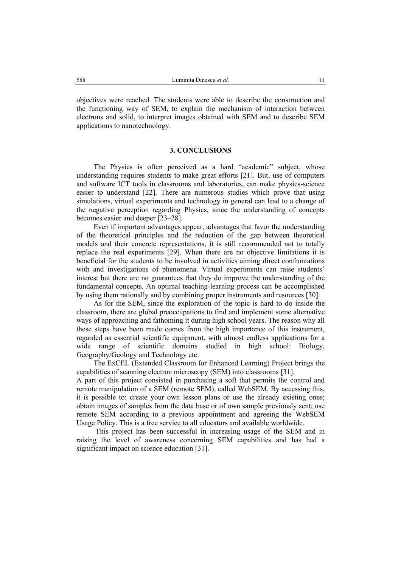objectives were reached. The students were able to describe the construction and the functioning way of SEM, to explain the mechanism of interaction between electrons and solid, to interpret images obtained with SEM and to describe SEM applications to nanotechnology.

### **3. CONCLUSIONS**

The Physics is often perceived as a hard "academic" subject, whose understanding requires students to make great efforts [21]. But, use of computers and software ICT tools in classrooms and laboratories, can make physics-science easier to understand [22]. There are numerous studies which prove that using simulations, virtual experiments and technology in general can lead to a change of the negative perception regarding Physics, since the understanding of concepts becomes easier and deeper [23–28].

Even if important advantages appear, advantages that favor the understanding of the theoretical principles and the reduction of the gap between theoretical models and their concrete representations, it is still recommended not to totally replace the real experiments [29]. When there are no objective limitations it is beneficial for the students to be involved in activities aiming direct confrontations with and investigations of phenomena. Virtual experiments can raise students' interest but there are no guarantees that they do improve the understanding of the fundamental concepts. An optimal teaching-learning process can be accomplished by using them rationally and by combining proper instruments and resources [30].

As for the SEM, since the exploration of the topic is hard to do inside the classroom, there are global preoccupations to find and implement some alternative ways of approaching and fathoming it during high school years. The reason why all these steps have been made comes from the high importance of this instrument, regarded as essential scientific equipment, with almost endless applications for a wide range of scientific domains studied in high school: Biology, Geography/Geology and Technology etc.

The ExCEL (Extended Classroom for Enhanced Learning) Project brings the capabilities of scanning electron microscopy (SEM) into classrooms [31].

A part of this project consisted in purchasing a soft that permits the control and remote manipulation of a SEM (remote SEM), called WebSEM. By accessing this, it is possible to: create your own lesson plans or use the already existing ones; obtain images of samples from the data base or of own sample previously sent; use remote SEM according to a previous appointment and agreeing the WebSEM Usage Policy. This is a free service to all educators and available worldwide.

 This project has been successful in increasing usage of the SEM and in raising the level of awareness concerning SEM capabilities and has had a significant impact on science education [31].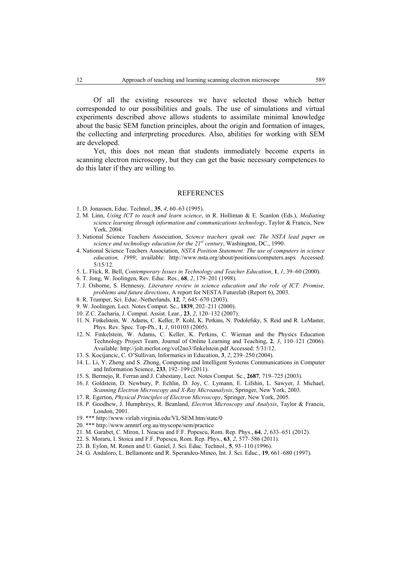Of all the existing resources we have selected those which better corresponded to our possibilities and goals. The use of simulations and virtual experiments described above allows students to assimilate minimal knowledge about the basic SEM function principles, about the origin and formation of images, the collecting and interpreting procedures. Also, abilities for working with SEM are developed.

Yet, this does not mean that students immediately become experts in scanning electron microscopy, but they can get the basic necessary competences to do this later if they are willing to.

#### REFERENCES

- 1. D. Jonassen, Educ. Technol., **35**, *4*, 60–63 (1995).
- 2. M. Linn, *Using ICT to teach and learn science*, in R. Holliman & E. Scanlon (Eds.), *Mediating science learning through information and communications technology*, Taylor & Francis, New York, 2004.
- 3. National Science Teachers Association, *Science teachers speak out: The NSTA lead paper on science and technology education for the 21st century*, Washington, DC., 1990.
- 4. National Science Teachers Association, *NSTA Position Statement: The use of computers in science education, 1999*; available: http://www.nsta.org/about/positions/computers.aspx Accessed: 5/15/12.
- 5. L. Flick, R. Bell, *Contemporary Issues in Technology and Teacher Education*, **1**, *1*, 39–60 (2000).
- 6. T. Jong, W. Joolingen, Rev. Educ. Res., **68**, *2*, 179–201 (1998).
- 7. J. Osborne, S. Hennessy*, Literature review in science education and the role of ICT: Promise, problems and future directions*, A report for NESTA Futurelab (Report 6), 2003.
- 8. R. Trumper, Sci. Educ.-Netherlands, **12**, *7*, 645–670 (2003).
- 9. W. Joolingen, Lect. Notes Comput. Sc., **1839**, 202–211 (2000).
- 10. Z.C. Zacharia, J. Comput. Assist. Lear., **23**, *2*, 120–132 (2007).
- 11. N. Finkelstein, W. Adams, C. Keller, P. Kohl, K. Perkins, N. Podolefsky, S. Reid and R. LeMaster, Phys. Rev. Spec. Top-Ph., **1**, *1*, 010103 (2005).
- 12. N. Finkelstein, W. Adams, C. Keller, K. Perkins, C. Wieman and the Physics Education Technology Project Team, Journal of Online Learning and Teaching, **2**, *3*, 110–121 (2006). Available: http://jolt.merlot.org/vol2no3/finkelstein.pdf Accessed: 5/31/12.
- 13. S. Kocijancic, C. O'Sullivan, Informatics in Education, **3**, *2*, 239–250 (2004).
- 14. L. Li, Y. Zheng and S. Zhong, Computing and Intelligent Systems Communications in Computer and Information Science, **233**, 192–199 (2011).
- 15. S. Bermejo, R. Ferran and J. Cabestany, Lect. Notes Comput. Sc., **2687**, 719–725 (2003).
- 16. J. Goldstein, D. Newbury, P. Echlin, D. Joy, C. Lymann, E. Lifshin, L. Sawyer, J. Michael, *Scanning Electron Microscopy and X-Ray Microanalysis*, Springer, New York, 2003.
- 17. R. Egerton, *Physical Principles of Electron Microscopy*, Springer, New York, 2005.
- 18. P. Goodhew, J. Humphreys, R. Beanland, *Electron Microscopy and Analysis*, Taylor & Francis, London, 2001.
- 19. \*\*\* http://www.virlab.virginia.edu/VL/SEM.htm/state/0
- 20. \*\*\* http://www.ammrf.org.au/myscope/sem/practice
- 21. M. Garabet, C. Miron, I. Neacsu and F.F. Popescu, Rom. Rep. Phys., **64**, *2*, 633–651 (2012).
- 22. S. Moraru, I. Stoica and F.F. Popescu, Rom. Rep. Phys., **63**, *2*, 577–586 (2011).
- 23. B. Eylon, M. Ronen and U. Ganiel, J. Sci. Educ. Technol., **5**, 93–110 (1996).
- 24. G. Andaloro, L. Bellamonte and R. Sperandeo-Mineo, Int. J. Sci. Educ., **19**, 661–680 (1997).